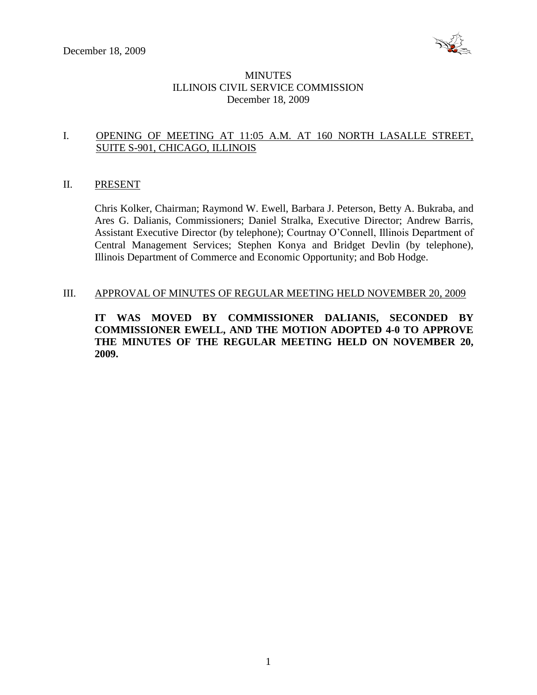

# MINUTES ILLINOIS CIVIL SERVICE COMMISSION December 18, 2009

# I. OPENING OF MEETING AT 11:05 A.M. AT 160 NORTH LASALLE STREET, SUITE S-901, CHICAGO, ILLINOIS

#### II. PRESENT

Chris Kolker, Chairman; Raymond W. Ewell, Barbara J. Peterson, Betty A. Bukraba, and Ares G. Dalianis, Commissioners; Daniel Stralka, Executive Director; Andrew Barris, Assistant Executive Director (by telephone); Courtnay O'Connell, Illinois Department of Central Management Services; Stephen Konya and Bridget Devlin (by telephone), Illinois Department of Commerce and Economic Opportunity; and Bob Hodge.

#### III. APPROVAL OF MINUTES OF REGULAR MEETING HELD NOVEMBER 20, 2009

**IT WAS MOVED BY COMMISSIONER DALIANIS, SECONDED BY COMMISSIONER EWELL, AND THE MOTION ADOPTED 4-0 TO APPROVE THE MINUTES OF THE REGULAR MEETING HELD ON NOVEMBER 20, 2009.**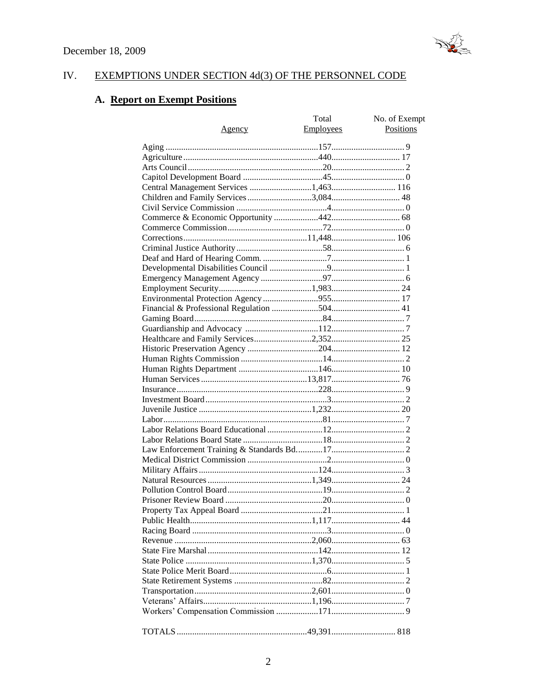

#### IV. EXEMPTIONS UNDER SECTION 4d(3) OF THE PERSONNEL CODE

# A. Report on Exempt Positions

|                                       | Total            | No. of Exempt |
|---------------------------------------|------------------|---------------|
| <u>Agency</u>                         | <b>Employees</b> | Positions     |
|                                       |                  |               |
|                                       |                  |               |
|                                       |                  |               |
|                                       |                  |               |
|                                       |                  |               |
| Central Management Services 1,463 116 |                  |               |
| Children and Family Services 3,084 48 |                  |               |
|                                       |                  |               |
|                                       |                  |               |
|                                       |                  |               |
|                                       |                  |               |
|                                       |                  |               |
|                                       |                  |               |
|                                       |                  |               |
|                                       |                  |               |
|                                       |                  |               |
|                                       |                  |               |
|                                       |                  |               |
|                                       |                  |               |
|                                       |                  |               |
|                                       |                  |               |
|                                       |                  |               |
|                                       |                  |               |
|                                       |                  |               |
|                                       |                  |               |
|                                       |                  |               |
|                                       |                  |               |
|                                       |                  |               |
|                                       |                  |               |
|                                       |                  |               |
|                                       |                  |               |
|                                       |                  |               |
|                                       |                  |               |
|                                       |                  |               |
|                                       |                  |               |
|                                       |                  |               |
|                                       |                  |               |
|                                       |                  |               |
|                                       |                  |               |
|                                       |                  |               |
|                                       |                  |               |
|                                       |                  |               |
|                                       |                  |               |
|                                       |                  |               |
|                                       |                  |               |
|                                       |                  |               |
|                                       |                  |               |
|                                       |                  |               |
|                                       |                  |               |
|                                       |                  |               |
|                                       |                  |               |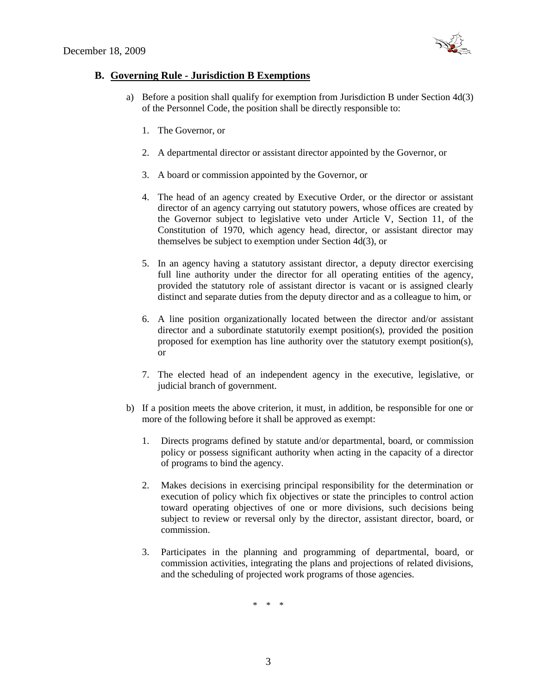

# **B. Governing Rule - Jurisdiction B Exemptions**

- a) Before a position shall qualify for exemption from Jurisdiction B under Section 4d(3) of the Personnel Code, the position shall be directly responsible to:
	- 1. The Governor, or
	- 2. A departmental director or assistant director appointed by the Governor, or
	- 3. A board or commission appointed by the Governor, or
	- 4. The head of an agency created by Executive Order, or the director or assistant director of an agency carrying out statutory powers, whose offices are created by the Governor subject to legislative veto under Article V, Section 11, of the Constitution of 1970, which agency head, director, or assistant director may themselves be subject to exemption under Section 4d(3), or
	- 5. In an agency having a statutory assistant director, a deputy director exercising full line authority under the director for all operating entities of the agency, provided the statutory role of assistant director is vacant or is assigned clearly distinct and separate duties from the deputy director and as a colleague to him, or
	- 6. A line position organizationally located between the director and/or assistant director and a subordinate statutorily exempt position(s), provided the position proposed for exemption has line authority over the statutory exempt position(s), or
	- 7. The elected head of an independent agency in the executive, legislative, or judicial branch of government.
- b) If a position meets the above criterion, it must, in addition, be responsible for one or more of the following before it shall be approved as exempt:
	- 1. Directs programs defined by statute and/or departmental, board, or commission policy or possess significant authority when acting in the capacity of a director of programs to bind the agency.
	- 2. Makes decisions in exercising principal responsibility for the determination or execution of policy which fix objectives or state the principles to control action toward operating objectives of one or more divisions, such decisions being subject to review or reversal only by the director, assistant director, board, or commission.
	- 3. Participates in the planning and programming of departmental, board, or commission activities, integrating the plans and projections of related divisions, and the scheduling of projected work programs of those agencies.

\* \* \*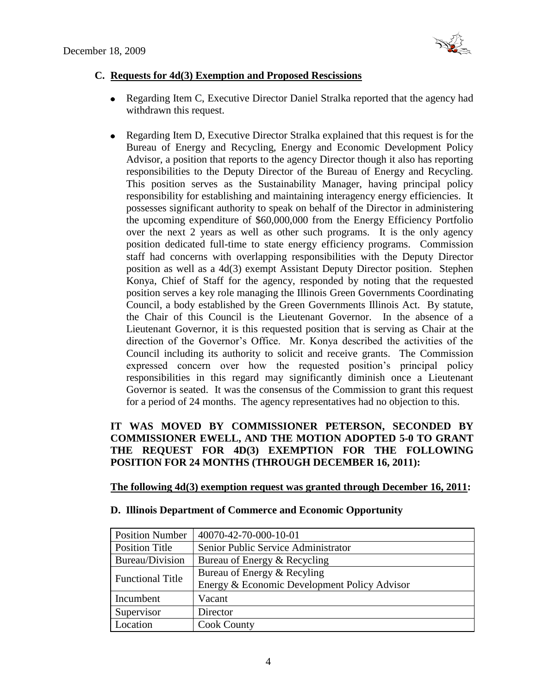

# **C. Requests for 4d(3) Exemption and Proposed Rescissions**

- Regarding Item C, Executive Director Daniel Stralka reported that the agency had  $\bullet$ withdrawn this request.
- Regarding Item D, Executive Director Stralka explained that this request is for the  $\bullet$ Bureau of Energy and Recycling, Energy and Economic Development Policy Advisor, a position that reports to the agency Director though it also has reporting responsibilities to the Deputy Director of the Bureau of Energy and Recycling. This position serves as the Sustainability Manager, having principal policy responsibility for establishing and maintaining interagency energy efficiencies. It possesses significant authority to speak on behalf of the Director in administering the upcoming expenditure of \$60,000,000 from the Energy Efficiency Portfolio over the next 2 years as well as other such programs. It is the only agency position dedicated full-time to state energy efficiency programs. Commission staff had concerns with overlapping responsibilities with the Deputy Director position as well as a 4d(3) exempt Assistant Deputy Director position. Stephen Konya, Chief of Staff for the agency, responded by noting that the requested position serves a key role managing the Illinois Green Governments Coordinating Council, a body established by the Green Governments Illinois Act. By statute, the Chair of this Council is the Lieutenant Governor. In the absence of a Lieutenant Governor, it is this requested position that is serving as Chair at the direction of the Governor's Office. Mr. Konya described the activities of the Council including its authority to solicit and receive grants. The Commission expressed concern over how the requested position's principal policy responsibilities in this regard may significantly diminish once a Lieutenant Governor is seated. It was the consensus of the Commission to grant this request for a period of 24 months. The agency representatives had no objection to this.

# **IT WAS MOVED BY COMMISSIONER PETERSON, SECONDED BY COMMISSIONER EWELL, AND THE MOTION ADOPTED 5-0 TO GRANT THE REQUEST FOR 4D(3) EXEMPTION FOR THE FOLLOWING POSITION FOR 24 MONTHS (THROUGH DECEMBER 16, 2011):**

# **The following 4d(3) exemption request was granted through December 16, 2011:**

| <b>Position Number</b>  | 40070-42-70-000-10-01                        |
|-------------------------|----------------------------------------------|
| <b>Position Title</b>   | Senior Public Service Administrator          |
| Bureau/Division         | Bureau of Energy & Recycling                 |
| <b>Functional Title</b> | Bureau of Energy & Recyling                  |
|                         | Energy & Economic Development Policy Advisor |
| Incumbent               | Vacant                                       |
| Supervisor              | Director                                     |
| Location                | <b>Cook County</b>                           |

# **D. Illinois Department of Commerce and Economic Opportunity**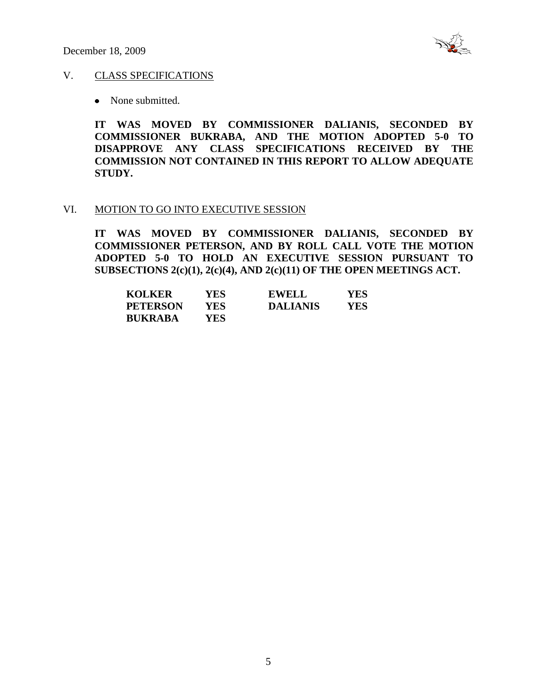

#### V. CLASS SPECIFICATIONS

• None submitted.

**IT WAS MOVED BY COMMISSIONER DALIANIS, SECONDED BY COMMISSIONER BUKRABA, AND THE MOTION ADOPTED 5-0 TO DISAPPROVE ANY CLASS SPECIFICATIONS RECEIVED BY THE COMMISSION NOT CONTAINED IN THIS REPORT TO ALLOW ADEQUATE STUDY.** 

#### VI. MOTION TO GO INTO EXECUTIVE SESSION

**IT WAS MOVED BY COMMISSIONER DALIANIS, SECONDED BY COMMISSIONER PETERSON, AND BY ROLL CALL VOTE THE MOTION ADOPTED 5-0 TO HOLD AN EXECUTIVE SESSION PURSUANT TO SUBSECTIONS 2(c)(1), 2(c)(4), AND 2(c)(11) OF THE OPEN MEETINGS ACT.** 

| <b>KOLKER</b>   | YES  | <b>EWELL</b>    | YES |
|-----------------|------|-----------------|-----|
| <b>PETERSON</b> | YES. | <b>DALIANIS</b> | YES |
| <b>BUKRABA</b>  | YES. |                 |     |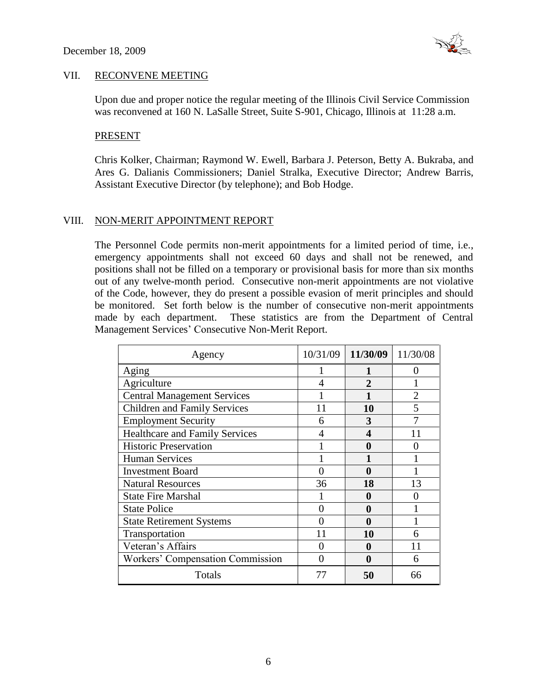

#### VII. RECONVENE MEETING

Upon due and proper notice the regular meeting of the Illinois Civil Service Commission was reconvened at 160 N. LaSalle Street, Suite S-901, Chicago, Illinois at 11:28 a.m.

#### PRESENT

Chris Kolker, Chairman; Raymond W. Ewell, Barbara J. Peterson, Betty A. Bukraba, and Ares G. Dalianis Commissioners; Daniel Stralka, Executive Director; Andrew Barris, Assistant Executive Director (by telephone); and Bob Hodge.

# VIII. NON-MERIT APPOINTMENT REPORT

The Personnel Code permits non-merit appointments for a limited period of time, i.e., emergency appointments shall not exceed 60 days and shall not be renewed, and positions shall not be filled on a temporary or provisional basis for more than six months out of any twelve-month period. Consecutive non-merit appointments are not violative of the Code, however, they do present a possible evasion of merit principles and should be monitored. Set forth below is the number of consecutive non-merit appointments made by each department. These statistics are from the Department of Central Management Services' Consecutive Non-Merit Report.

| Agency                                | 10/31/09 | 11/30/09 | 11/30/08       |
|---------------------------------------|----------|----------|----------------|
| Aging                                 |          |          |                |
| Agriculture                           | 4        | 2        |                |
| <b>Central Management Services</b>    |          |          | $\mathfrak{D}$ |
| <b>Children and Family Services</b>   |          | 10       |                |
| <b>Employment Security</b>            | 6        | 3        |                |
| <b>Healthcare and Family Services</b> |          | 4        | 11             |
| <b>Historic Preservation</b>          |          | 0        |                |
| <b>Human Services</b>                 |          |          |                |
| <b>Investment Board</b>               |          | 0        |                |
| <b>Natural Resources</b>              | 36       | 18       | 13             |
| <b>State Fire Marshal</b>             |          | 0        |                |
| <b>State Police</b>                   |          | 0        |                |
| <b>State Retirement Systems</b>       |          | 0        |                |
| Transportation                        | 11       | 10       |                |
| Veteran's Affairs                     |          | 0        | 11             |
| Workers' Compensation Commission      |          | 0        | 6              |
| Totals                                | 77       | 50       | 66             |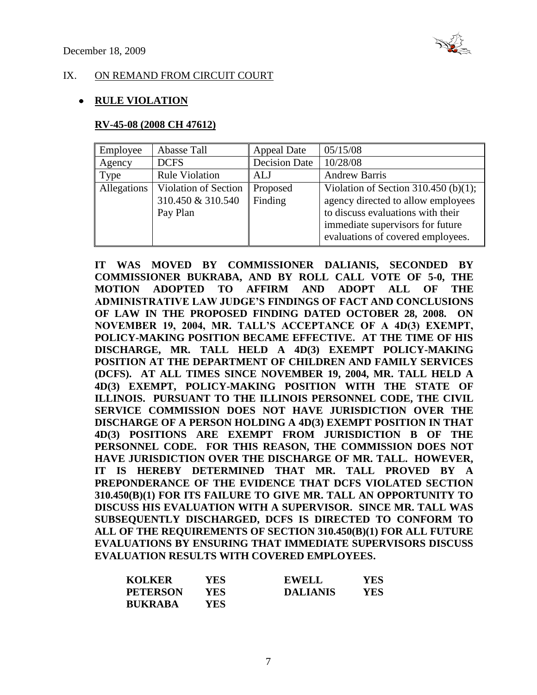

#### IX. ON REMAND FROM CIRCUIT COURT

### **RULE VIOLATION**

#### **RV-45-08 (2008 CH 47612)**

| Employee    | Abasse Tall           | <b>Appeal Date</b>   | 05/15/08                             |
|-------------|-----------------------|----------------------|--------------------------------------|
| Agency      | <b>DCFS</b>           | <b>Decision Date</b> | 10/28/08                             |
| Type        | <b>Rule Violation</b> | ALJ                  | <b>Andrew Barris</b>                 |
| Allegations | Violation of Section  | Proposed             | Violation of Section 310.450 (b)(1); |
|             | 310.450 & 310.540     | Finding              | agency directed to allow employees   |
|             | Pay Plan              |                      | to discuss evaluations with their    |
|             |                       |                      | immediate supervisors for future     |
|             |                       |                      | evaluations of covered employees.    |

**IT WAS MOVED BY COMMISSIONER DALIANIS, SECONDED BY COMMISSIONER BUKRABA, AND BY ROLL CALL VOTE OF 5-0, THE MOTION ADOPTED TO AFFIRM AND ADOPT ALL OF THE ADMINISTRATIVE LAW JUDGE'S FINDINGS OF FACT AND CONCLUSIONS OF LAW IN THE PROPOSED FINDING DATED OCTOBER 28, 2008. ON NOVEMBER 19, 2004, MR. TALL'S ACCEPTANCE OF A 4D(3) EXEMPT, POLICY-MAKING POSITION BECAME EFFECTIVE. AT THE TIME OF HIS DISCHARGE, MR. TALL HELD A 4D(3) EXEMPT POLICY-MAKING POSITION AT THE DEPARTMENT OF CHILDREN AND FAMILY SERVICES (DCFS). AT ALL TIMES SINCE NOVEMBER 19, 2004, MR. TALL HELD A 4D(3) EXEMPT, POLICY-MAKING POSITION WITH THE STATE OF ILLINOIS. PURSUANT TO THE ILLINOIS PERSONNEL CODE, THE CIVIL SERVICE COMMISSION DOES NOT HAVE JURISDICTION OVER THE DISCHARGE OF A PERSON HOLDING A 4D(3) EXEMPT POSITION IN THAT 4D(3) POSITIONS ARE EXEMPT FROM JURISDICTION B OF THE PERSONNEL CODE. FOR THIS REASON, THE COMMISSION DOES NOT HAVE JURISDICTION OVER THE DISCHARGE OF MR. TALL. HOWEVER, IT IS HEREBY DETERMINED THAT MR. TALL PROVED BY A PREPONDERANCE OF THE EVIDENCE THAT DCFS VIOLATED SECTION 310.450(B)(1) FOR ITS FAILURE TO GIVE MR. TALL AN OPPORTUNITY TO DISCUSS HIS EVALUATION WITH A SUPERVISOR. SINCE MR. TALL WAS SUBSEQUENTLY DISCHARGED, DCFS IS DIRECTED TO CONFORM TO ALL OF THE REQUIREMENTS OF SECTION 310.450(B)(1) FOR ALL FUTURE EVALUATIONS BY ENSURING THAT IMMEDIATE SUPERVISORS DISCUSS EVALUATION RESULTS WITH COVERED EMPLOYEES.** 

| <b>KOLKER</b>   | YES  | <b>EWELL</b>    | YES. |
|-----------------|------|-----------------|------|
| <b>PETERSON</b> | YES. | <b>DALIANIS</b> | YES. |
| <b>BUKRABA</b>  | YES. |                 |      |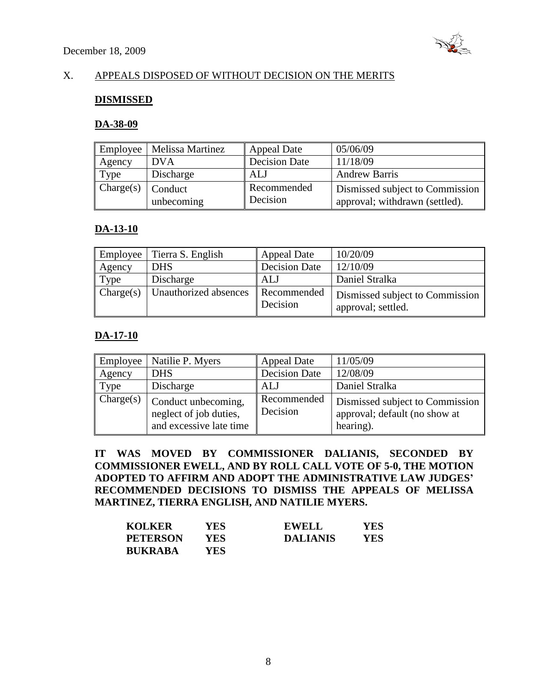

# X. APPEALS DISPOSED OF WITHOUT DECISION ON THE MERITS

#### **DISMISSED**

#### **DA-38-09**

| Employee  | Melissa Martinez      | <b>Appeal Date</b>      | 05/06/09                                                          |
|-----------|-----------------------|-------------------------|-------------------------------------------------------------------|
| Agency    | <b>DVA</b>            | <b>Decision Date</b>    | 11/18/09                                                          |
| Type      | Discharge             | ALJ                     | <b>Andrew Barris</b>                                              |
| Change(s) | Conduct<br>unbecoming | Recommended<br>Decision | Dismissed subject to Commission<br>approval; withdrawn (settled). |

# **DA-13-10**

| <b>Employee</b> | Tierra S. English     | <b>Appeal Date</b>      | 10/20/09                                              |
|-----------------|-----------------------|-------------------------|-------------------------------------------------------|
| Agency          | <b>DHS</b>            | Decision Date           | 12/10/09                                              |
| Type            | Discharge             | ALJ                     | Daniel Stralka                                        |
| Change(s)       | Unauthorized absences | Recommended<br>Decision | Dismissed subject to Commission<br>approval; settled. |

# **DA-17-10**

| Employee  | Natilie P. Myers                                                         | <b>Appeal Date</b>      | 11/05/09                                                                      |
|-----------|--------------------------------------------------------------------------|-------------------------|-------------------------------------------------------------------------------|
| Agency    | <b>DHS</b>                                                               | <b>Decision Date</b>    | 12/08/09                                                                      |
| Type      | Discharge                                                                | ALJ                     | Daniel Stralka                                                                |
| Change(s) | Conduct unbecoming,<br>neglect of job duties,<br>and excessive late time | Recommended<br>Decision | Dismissed subject to Commission<br>approval; default (no show at<br>hearing). |

**IT WAS MOVED BY COMMISSIONER DALIANIS, SECONDED BY COMMISSIONER EWELL, AND BY ROLL CALL VOTE OF 5-0, THE MOTION ADOPTED TO AFFIRM AND ADOPT THE ADMINISTRATIVE LAW JUDGES' RECOMMENDED DECISIONS TO DISMISS THE APPEALS OF MELISSA MARTINEZ, TIERRA ENGLISH, AND NATILIE MYERS.**

| <b>KOLKER</b>   | YES. | <b>EWELL</b>    | <b>YES</b> |
|-----------------|------|-----------------|------------|
| <b>PETERSON</b> | YES. | <b>DALIANIS</b> | YES        |
| <b>BUKRABA</b>  | YES- |                 |            |